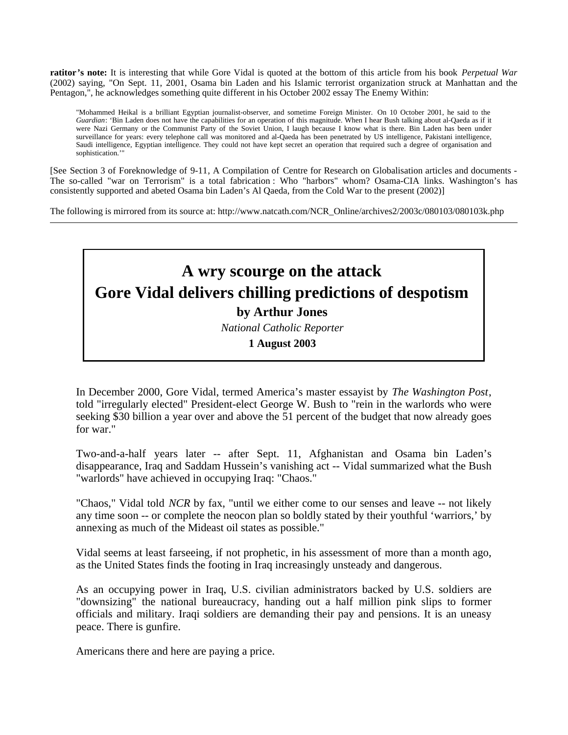**ratitor's note:** It is interesting that while Gore Vidal is quoted at the bottom of this article from his book *Perpetual War* (2002) saying, "On Sept. 11, 2001, Osama bin Laden and his Islamic terrorist organization struck at Manhattan and the Pentagon,", he acknowledges something quite different in his October 2002 essay The Enemy Within:

"Mohammed Heikal is a brilliant Egyptian journalist-observer, and sometime Foreign Minister. On 10 October 2001, he said to the *Guardian*: 'Bin Laden does not have the capabilities for an operation of this magnitude. When I hear Bush talking about al-Qaeda as if it were Nazi Germany or the Communist Party of the Soviet Union, I laugh because I know what is there. Bin Laden has been under surveillance for years: every telephone call was monitored and al-Qaeda has been penetrated by US intelligence, Pakistani intelligence, Saudi intelligence, Egyptian intelligence. They could not have kept secret an operation that required such a degree of organisation and sophistication.'"

[See Section 3 of Foreknowledge of 9-11, A Compilation of Centre for Research on Globalisation articles and documents - The so-called "war on Terrorism" is a total fabrication : Who "harbors" whom? Osama-CIA links. Washington's has consistently supported and abeted Osama bin Laden's Al Qaeda, from the Cold War to the present (2002)]

The following is mirrored from its source at: http://www.natcath.com/NCR\_Online/archives2/2003c/080103/080103k.php

## **A wry scourge on the attack Gore Vidal delivers chilling predictions of despotism by Arthur Jones**

*National Catholic Reporter* 

**1 August 2003** 

In December 2000, Gore Vidal, termed America's master essayist by *The Washington Post*, told "irregularly elected" President-elect George W. Bush to "rein in the warlords who were seeking \$30 billion a year over and above the 51 percent of the budget that now already goes for war."

Two-and-a-half years later -- after Sept. 11, Afghanistan and Osama bin Laden's disappearance, Iraq and Saddam Hussein's vanishing act -- Vidal summarized what the Bush "warlords" have achieved in occupying Iraq: "Chaos."

"Chaos," Vidal told *NCR* by fax, "until we either come to our senses and leave -- not likely any time soon -- or complete the neocon plan so boldly stated by their youthful 'warriors,' by annexing as much of the Mideast oil states as possible."

Vidal seems at least farseeing, if not prophetic, in his assessment of more than a month ago, as the United States finds the footing in Iraq increasingly unsteady and dangerous.

As an occupying power in Iraq, U.S. civilian administrators backed by U.S. soldiers are "downsizing" the national bureaucracy, handing out a half million pink slips to former officials and military. Iraqi soldiers are demanding their pay and pensions. It is an uneasy peace. There is gunfire.

Americans there and here are paying a price.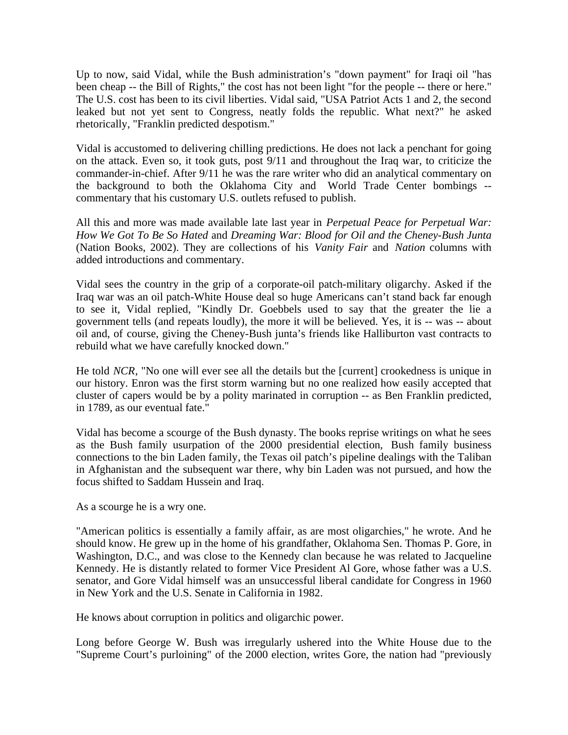Up to now, said Vidal, while the Bush administration's "down payment" for Iraqi oil "has been cheap -- the Bill of Rights," the cost has not been light "for the people -- there or here." The U.S. cost has been to its civil liberties. Vidal said, "USA Patriot Acts 1 and 2, the second leaked but not yet sent to Congress, neatly folds the republic. What next?" he asked rhetorically, "Franklin predicted despotism."

Vidal is accustomed to delivering chilling predictions. He does not lack a penchant for going on the attack. Even so, it took guts, post 9/11 and throughout the Iraq war, to criticize the commander-in-chief. After 9/11 he was the rare writer who did an analytical commentary on the background to both the Oklahoma City and World Trade Center bombings - commentary that his customary U.S. outlets refused to publish.

All this and more was made available late last year in *Perpetual Peace for Perpetual War: How We Got To Be So Hated* and *Dreaming War: Blood for Oil and the Cheney-Bush Junta* (Nation Books, 2002). They are collections of his *Vanity Fair* and *Nation* columns with added introductions and commentary.

Vidal sees the country in the grip of a corporate-oil patch-military oligarchy. Asked if the Iraq war was an oil patch-White House deal so huge Americans can't stand back far enough to see it, Vidal replied, "Kindly Dr. Goebbels used to say that the greater the lie a government tells (and repeats loudly), the more it will be believed. Yes, it is -- was -- about oil and, of course, giving the Cheney-Bush junta's friends like Halliburton vast contracts to rebuild what we have carefully knocked down."

He told *NCR*, "No one will ever see all the details but the [current] crookedness is unique in our history. Enron was the first storm warning but no one realized how easily accepted that cluster of capers would be by a polity marinated in corruption -- as Ben Franklin predicted, in 1789, as our eventual fate."

Vidal has become a scourge of the Bush dynasty. The books reprise writings on what he sees as the Bush family usurpation of the 2000 presidential election, Bush family business connections to the bin Laden family, the Texas oil patch's pipeline dealings with the Taliban in Afghanistan and the subsequent war there, why bin Laden was not pursued, and how the focus shifted to Saddam Hussein and Iraq.

As a scourge he is a wry one.

"American politics is essentially a family affair, as are most oligarchies," he wrote. And he should know. He grew up in the home of his grandfather, Oklahoma Sen. Thomas P. Gore, in Washington, D.C., and was close to the Kennedy clan because he was related to Jacqueline Kennedy. He is distantly related to former Vice President Al Gore, whose father was a U.S. senator, and Gore Vidal himself was an unsuccessful liberal candidate for Congress in 1960 in New York and the U.S. Senate in California in 1982.

He knows about corruption in politics and oligarchic power.

Long before George W. Bush was irregularly ushered into the White House due to the "Supreme Court's purloining" of the 2000 election, writes Gore, the nation had "previously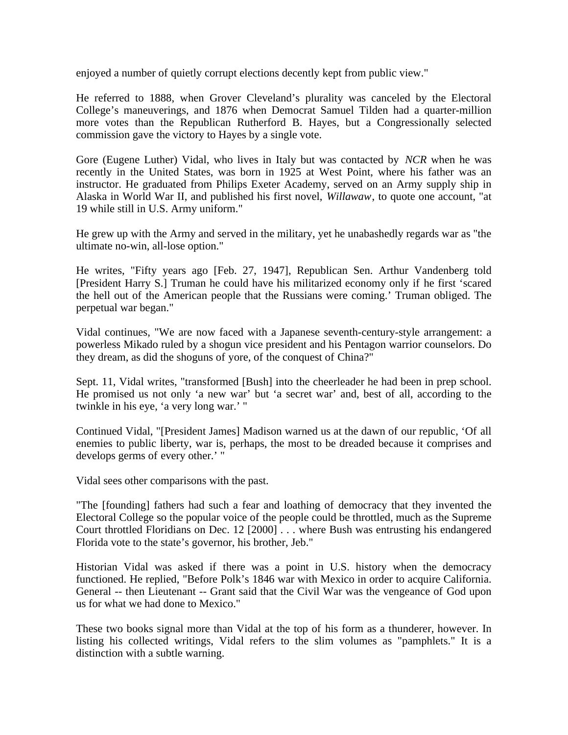enjoyed a number of quietly corrupt elections decently kept from public view."

He referred to 1888, when Grover Cleveland's plurality was canceled by the Electoral College's maneuverings, and 1876 when Democrat Samuel Tilden had a quarter-million more votes than the Republican Rutherford B. Hayes, but a Congressionally selected commission gave the victory to Hayes by a single vote.

Gore (Eugene Luther) Vidal, who lives in Italy but was contacted by *NCR* when he was recently in the United States, was born in 1925 at West Point, where his father was an instructor. He graduated from Philips Exeter Academy, served on an Army supply ship in Alaska in World War II, and published his first novel, *Willawaw*, to quote one account, "at 19 while still in U.S. Army uniform."

He grew up with the Army and served in the military, yet he unabashedly regards war as "the ultimate no-win, all-lose option."

He writes, "Fifty years ago [Feb. 27, 1947], Republican Sen. Arthur Vandenberg told [President Harry S.] Truman he could have his militarized economy only if he first 'scared the hell out of the American people that the Russians were coming.' Truman obliged. The perpetual war began."

Vidal continues, "We are now faced with a Japanese seventh-century-style arrangement: a powerless Mikado ruled by a shogun vice president and his Pentagon warrior counselors. Do they dream, as did the shoguns of yore, of the conquest of China?"

Sept. 11, Vidal writes, "transformed [Bush] into the cheerleader he had been in prep school. He promised us not only 'a new war' but 'a secret war' and, best of all, according to the twinkle in his eye, 'a very long war.' "

Continued Vidal, "[President James] Madison warned us at the dawn of our republic, 'Of all enemies to public liberty, war is, perhaps, the most to be dreaded because it comprises and develops germs of every other.' "

Vidal sees other comparisons with the past.

"The [founding] fathers had such a fear and loathing of democracy that they invented the Electoral College so the popular voice of the people could be throttled, much as the Supreme Court throttled Floridians on Dec. 12 [2000] . . . where Bush was entrusting his endangered Florida vote to the state's governor, his brother, Jeb."

Historian Vidal was asked if there was a point in U.S. history when the democracy functioned. He replied, "Before Polk's 1846 war with Mexico in order to acquire California. General -- then Lieutenant -- Grant said that the Civil War was the vengeance of God upon us for what we had done to Mexico."

These two books signal more than Vidal at the top of his form as a thunderer, however. In listing his collected writings, Vidal refers to the slim volumes as "pamphlets." It is a distinction with a subtle warning.